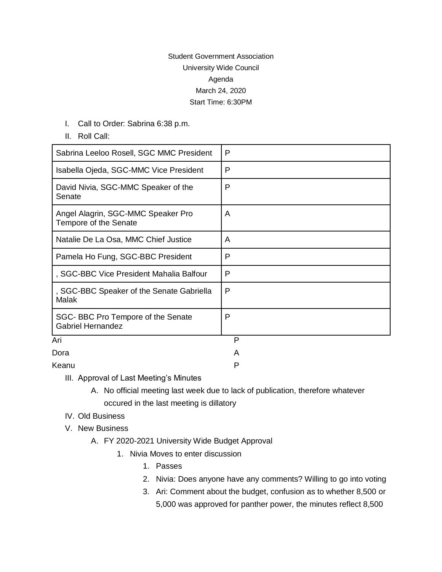## Student Government Association University Wide Council Agenda March 24, 2020 Start Time: 6:30PM

- I. Call to Order: Sabrina 6:38 p.m.
- II. Roll Call:

| Sabrina Leeloo Rosell, SGC MMC President                      | P |
|---------------------------------------------------------------|---|
| Isabella Ojeda, SGC-MMC Vice President                        | P |
| David Nivia, SGC-MMC Speaker of the<br>Senate                 | P |
| Angel Alagrin, SGC-MMC Speaker Pro<br>Tempore of the Senate   | A |
| Natalie De La Osa, MMC Chief Justice                          | A |
| Pamela Ho Fung, SGC-BBC President                             | P |
| , SGC-BBC Vice President Mahalia Balfour                      | P |
| , SGC-BBC Speaker of the Senate Gabriella<br>Malak            | P |
| SGC-BBC Pro Tempore of the Senate<br><b>Gabriel Hernandez</b> | P |
| Ari                                                           | P |
| Dora                                                          | A |

Keanu Personalist Personalist Personalist Personalist Personalist Personalist Personalist Personalist Personalist Personalist Personalist Personalist Personalist Personalist Personalist Personalist Personalist Personalist

- III. Approval of Last Meeting's Minutes
	- A. No official meeting last week due to lack of publication, therefore whatever occured in the last meeting is dillatory
- IV. Old Business
- V. New Business
	- A. FY 2020-2021 University Wide Budget Approval
		- 1. Nivia Moves to enter discussion
			- 1. Passes
			- 2. Nivia: Does anyone have any comments? Willing to go into voting
			- 3. Ari: Comment about the budget, confusion as to whether 8,500 or 5,000 was approved for panther power, the minutes reflect 8,500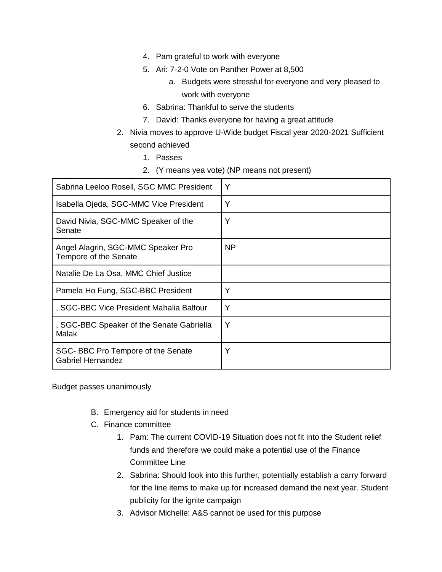- 4. Pam grateful to work with everyone
- 5. Ari: 7-2-0 Vote on Panther Power at 8,500
	- a. Budgets were stressful for everyone and very pleased to work with everyone
- 6. Sabrina: Thankful to serve the students
- 7. David: Thanks everyone for having a great attitude
- 2. Nivia moves to approve U-Wide budget Fiscal year 2020-2021 Sufficient second achieved
	- 1. Passes
	- 2. (Y means yea vote) (NP means not present)

| Sabrina Leeloo Rosell, SGC MMC President                      | Y              |
|---------------------------------------------------------------|----------------|
| Isabella Ojeda, SGC-MMC Vice President                        | Υ              |
| David Nivia, SGC-MMC Speaker of the<br>Senate                 | Υ              |
| Angel Alagrin, SGC-MMC Speaker Pro<br>Tempore of the Senate   | N <sub>P</sub> |
| Natalie De La Osa, MMC Chief Justice                          |                |
| Pamela Ho Fung, SGC-BBC President                             | Υ              |
| , SGC-BBC Vice President Mahalia Balfour                      | Υ              |
| , SGC-BBC Speaker of the Senate Gabriella<br><b>Malak</b>     | Y              |
| SGC-BBC Pro Tempore of the Senate<br><b>Gabriel Hernandez</b> | Υ              |

Budget passes unanimously

- B. Emergency aid for students in need
- C. Finance committee
	- 1. Pam: The current COVID-19 Situation does not fit into the Student relief funds and therefore we could make a potential use of the Finance Committee Line
	- 2. Sabrina: Should look into this further, potentially establish a carry forward for the line items to make up for increased demand the next year. Student publicity for the ignite campaign
	- 3. Advisor Michelle: A&S cannot be used for this purpose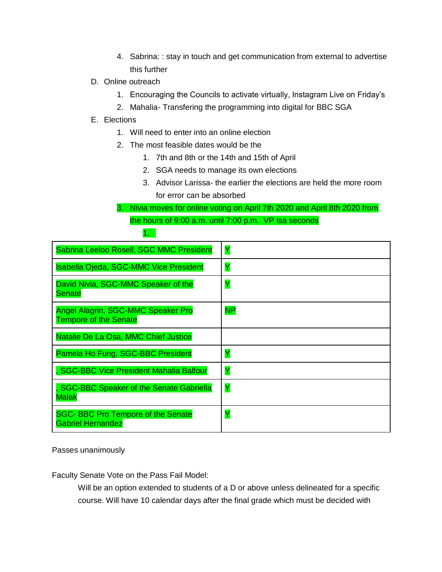- 4. Sabrina: : stay in touch and get communication from external to advertise this further
- D. Online outreach

1.

- 1. Encouraging the Councils to activate virtually, Instagram Live on Friday's
- 2. Mahalia- Transfering the programming into digital for BBC SGA
- E. Elections
	- 1. Will need to enter into an online election
	- 2. The most feasible dates would be the
		- 1. 7th and 8th or the 14th and 15th of April
		- 2. SGA needs to manage its own elections
		- 3. Advisor Larissa- the earlier the elections are held the more room for error can be absorbed
	- 3. Nivia moves for online voting on April 7th 2020 and April 8th 2020 from the hours of 9:00 a.m. until 7:00 p.m. VP Isa seconds

| Sabrina Leeloo Rosell, SGC MMC President                             | Y  |
|----------------------------------------------------------------------|----|
| <b>Isabella Ojeda, SGC-MMC Vice President</b>                        | Ÿ  |
| David Nivia, SGC-MMC Speaker of the<br>Senate                        | Ÿ  |
| Angel Alagrin, SGC-MMC Speaker Pro<br><b>Tempore of the Senate</b>   | NP |
| Natalie De La Osa, MMC Chief Justice                                 |    |
| Pamela Ho Fung, SGC-BBC President                                    | Ÿ  |
| , SGC-BBC Vice President Mahalia Balfour                             | Ÿ  |
| <b>SGC-BBC Speaker of the Senate Gabriella</b><br><b>Malak</b>       | Y  |
| <b>SGC-BBC Pro Tempore of the Senate</b><br><b>Gabriel Hernandez</b> | Ÿ  |

Passes unanimously

Faculty Senate Vote on the Pass Fail Model:

Will be an option extended to students of a D or above unless delineated for a specific course. Will have 10 calendar days after the final grade which must be decided with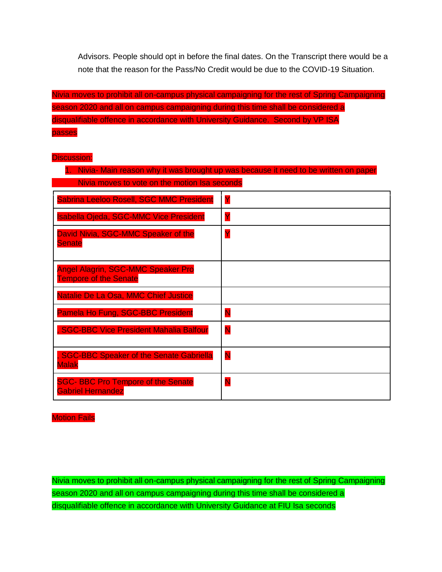Advisors. People should opt in before the final dates. On the Transcript there would be a note that the reason for the Pass/No Credit would be due to the COVID-19 Situation.

Nivia moves to prohibit all on-campus physical campaigning for the rest of Spring Campaigning season 2020 and all on campus campaigning during this time shall be considered a disqualifiable offence in accordance with University Guidance. Second by VP ISA passes

## Discussion:

| 1. Nivia- Main reason why it was brought up was because it need to be written on paper |   |
|----------------------------------------------------------------------------------------|---|
| Nivia moves to vote on the motion Isa seconds                                          |   |
| Sabrina Leeloo Rosell, SGC MMC President                                               | Y |
| <b>Isabella Ojeda, SGC-MMC Vice President</b>                                          | Y |
| David Nivia, SGC-MMC Speaker of the<br><b>Senate</b>                                   | Ÿ |
| <b>Angel Alagrin, SGC-MMC Speaker Pro</b><br><b>Tempore of the Senate</b>              |   |
| Natalie De La Osa, MMC Chief Justice                                                   |   |
| Pamela Ho Fung, SGC-BBC President                                                      | Ñ |
| , SGC-BBC Vice President Mahalia Balfour                                               | N |
| <b>SGC-BBC Speaker of the Senate Gabriella</b><br><b>Malak</b>                         | N |
| <b>SGC-BBC Pro Tempore of the Senate</b><br><b>Gabriel Hernandez</b>                   | N |

**Motion Fails** 

Nivia moves to prohibit all on-campus physical campaigning for the rest of Spring Campaigning season 2020 and all on campus campaigning during this time shall be considered a disqualifiable offence in accordance with University Guidance at FIU Isa seconds